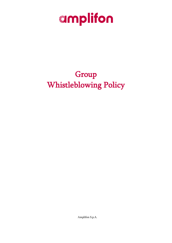

# Group Whistleblowing Policy

Amplifon S.p.A.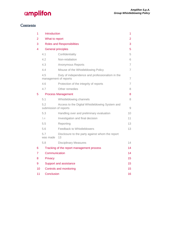### **Contents**

| 1  | Introduction                                                                    |                                                       | 1                   |
|----|---------------------------------------------------------------------------------|-------------------------------------------------------|---------------------|
| 2  | What to report                                                                  |                                                       | $\overline{2}$      |
| 3  | <b>Roles and Responsibilities</b>                                               |                                                       | 3                   |
| 4  | <b>General principles</b>                                                       |                                                       | 5                   |
|    | 4.1                                                                             | Confidentiality                                       | 5                   |
|    | 4.2                                                                             | Non-retaliation                                       | 6                   |
|    | 4.3                                                                             | <b>Anonymous Reports</b>                              | 7                   |
|    | 4.4                                                                             | Misuse of the Whistleblowing Policy                   | $\overline{7}$      |
|    | 4.5<br>Duty of independence and professionalism in the<br>management of reports |                                                       | $\overline{7}$      |
|    | 4.6                                                                             | Protection of the integrity of reports                | 7                   |
|    | 4.7                                                                             | Other remedies                                        | 8                   |
| 5  | <b>Process Management</b>                                                       |                                                       | 8                   |
|    | 5.1                                                                             | Whistleblowing channels                               | 8                   |
|    | 5.2<br>Access to the Digital Whistleblowing System and<br>submission of reports |                                                       | $\mathcal{G}% _{0}$ |
|    | 5.3                                                                             | Handling over and preliminary evaluation              | 10                  |
|    | 5.4                                                                             | Investigation and final decision                      | 11                  |
|    | 5.5                                                                             | Reporting                                             | 13                  |
|    | 5.6                                                                             | Feedback to Whistleblowers                            | 13                  |
|    | 57<br>was made                                                                  | Disclosure to the party against whom the report<br>13 |                     |
|    | 5.8                                                                             | <b>Disciplinary Measures</b>                          | 14                  |
| 6  | Tracking of the report management process                                       |                                                       | 14                  |
| 7  | Communication                                                                   |                                                       | 14                  |
| 8  | Privacy                                                                         |                                                       | 15                  |
| 9  | Support and assistance                                                          |                                                       | 15                  |
| 10 | Controls and monitoring                                                         |                                                       | 15                  |
| 11 | Conclusion                                                                      |                                                       | 16                  |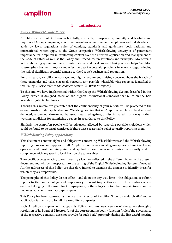### 1 Introduction

### <span id="page-2-0"></span>Why a Whistleblowing Policy

Amplifon carries out its business faithfully, correctly, transparently, honestly and lawfully and requires all Group companies, executives, members of management, employees and stakeholders to abide by laws, regulations, rules of conduct, standards and guidelines, both national and international, which apply to the Group companies. Whistleblowing activity is of paramount importance for Amplifon in reinforcing control over the effective application and management of the Code of Ethics as well as the Policy and Procedures prescriptions and principles. Moreover, a Whistleblowing system, in line with international and local laws and best practices, helps Amplifon to strengthen business integrity and effectively tackle potential problems in an early stage, reducing the risk of significant potential damage to the Group's business and reputation.

For this reason, Amplifon encourages and highly recommends raising concerns about the breach of these principles and takes extremely seriously any possible whistleblowing report as identified in this Policy. (Please refer to the dedicate section "2. What to report").

To this end, we have implemented within the Group the Whistleblowing System described in this Policy, which is designed based on the highest international standards that relies on the best available digital technologies.

Through this system, we guarantee that the confidentiality of your reports will be protected to the extent possible under applicable law. We also guarantee that no Amplifon people will be dismissed, demoted, suspended, threatened, harassed, retaliated against, or discriminated in any way in their working conditions for submitting a report in accordance to this Policy.

Similarly, no Amplifon people will be adversely affected by reporting possible violations which could be found to be unsubstantiated if there was a reasonable belief to justify reporting them.

#### Whistleblowing Policy applicability

This document contains rights and obligations concerning Whistleblowers and the Whistleblowing reporting process and applies to all Amplifon companies in all geographies where the Group operates, and must be interpreted and applied in each relevant country consistently and in compliance with any specific local laws on the same subject.

The specific aspects relating to each country's laws are reflected in the different boxes in the present document and will be transposed into the setting of the Digital Whistleblowing System, if needed. All the addressees of this Policy are therefore invited to examine the annexes to identify those for which they are responsible.

The principles of this Policy do not affect – and do not in any way limit – the obligations to submit reports to the competent judicial, supervisory or regulatory authorities in the countries where entities belonging to the Amplifon Group operate, or the obligations to submit reports to any control bodies established at each Group company.

This Policy has been approved by the Board of Director of Amplifon S.p.A. on 4 March 2020 and its application is mandatory for all the Amplifon companies.

Each Amplifon company will adopt this Policy (and any new version of the same) through a resolution of its Board of Directors (or of the corresponding body / function / role if the governance of the respective company does not provide for such body) promptly during the first useful meeting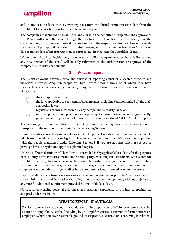and in any case no later than 60 working days from the formal communication date from the Amplifon CEO consistently with the implementation plan.

The companies that should be established and / or join the Amplifon Group after the approval of this Policy will adopt the same through the resolution of their Board of Directors (or of the corresponding body / function / role if the governance of the respective subsidiary does not provide for this body) promptly during the first useful meeting and in any case no later than 60 working days from the date of incorporation or, as appropriate, from joining the Amplifon Group.

When required by local legislations, the relevant Amplifon company ensures that this Policy (and any new version of the same) will be duly submitted to the authorization or approval of the competent authorities or councils.

### 2 What to report

<span id="page-3-0"></span>The Whistleblowing channels serve the purpose of reporting actual or suspected breaches and violations of which Amplifon people or Third Parties become aware or of which they have reasonable suspicion concerning conduct (of any nature whatsoever, even if merely omissive) in violation of:

- (i) the Group Code of Ethics;
- (ii) the laws applicable to each Amplifon companies, including (but not limited to) the anticorruption laws;
- (iii) regulations or measures issued by any competent Authority; and/ or
- (iv) internal policies and procedures adopted by the Amplifon companies (specifically, policy concerning conflicts of interest, anti-corruption, Model 231 for Amplifon S.p.A.).

The foregoing, without prejudice to different provisions under applicable local legislation, is transposed in the settings of the Digital Whistleblowing System.

In some countries, local laws and regulations restrict reports of situations, information or documents which are covered by secrecy or legal privilege in certain circumstances. We recommend speaking with the people mentioned under following Section 9 if you are not sure whether secrecy or privilege laws or regulations apply to a planned report.

Unless a different definition of Third Parties is provided for by applicable local laws, for the purposes of this Policy Third Party(ies) means any external party, excluding final customers, with whom the Amplifon company has some form of business relationship (e.g. joint ventures, joint venture partners, consortium partners, outsourcing providers, contractors, consultants, sub-contractors, suppliers, vendors, advisors, agents, distributors, representatives, intermediaries and investors).

Reports shall be made based on a reasonable belief and as detailed as possible. The concerns shall contain information and facts rather than allegations or statement of opinions, without prejudice to any specific additional requirement provided by applicable local laws.

No reports concerning personal grievances and customer experience or product complaints are accepted under this Policy.

#### WHAT TO REPORT – IN AUSTRALIA

Disclosures may be made about misconduct or an improper state of affairs or circumstances in relation to Amplifon Australia (including by an Amplifon Australia current or former officer or employee) where you have reasonable grounds to suspect has occurred or is occurring in relation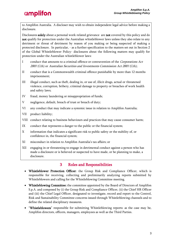to Amplifon Australia. A discloser may wish to obtain independent legal advice before making a disclosure.

Disclosures solely about a personal work-related grievance are not covered by this policy and do not qualify for protection under the Australian whistleblower laws unless they also relate to any detriment or threat of detriment by reason of you making or being suspected of making a protected disclosure. In particular, - as a further specification to the matters set out in Section 2 of the Global Whistleblower Policy- disclosures about the following matters may qualify for protection under the Australian whistleblower laws:

- I conduct that amounts to a criminal offence or contravention of the Corporations Act 2001 (Cth) or Australian Securities and Investments Commission Act 2001 (Cth);
- II conduct that is a Commonwealth criminal offence punishable by more than 12 months imprisonment;
- III illegal conduct, such as theft, dealing in, or use of, illicit drugs, actual or threatened violence, corruption, bribery, criminal damage to property or breaches of work health and safety laws;
- IV fraud, money laundering or misappropriation of funds;
- V negligence, default, breach of trust or breach of duty;
- VI any conduct that may indicate a systemic issue in relation to Amplifon Australia;
- VII product liability;
- VIII conduct relating to business behaviours and practices that may cause consumer harm;
- IX conduct that represents a danger to the public or the financial system;
- X information that indicates a significant risk to public safety or the stability of, or confidence in, the financial system;
- XI misconduct in relation to Amplifon Australia's tax affairs; or
- XII engaging in or threatening to engage in detrimental conduct against a person who has made a disclosure or is believed or suspected to have made, or be planning to make, a disclosure.

### 3 Roles and Responsibilities

- <span id="page-4-0"></span>• Whistleblower Protection Officer: the Group Risk and Compliance Officer, which is responsible for receiving, collecting and preliminarily analyzing reports submitted by Whistleblowers and calling for the Whistleblowing Committee meeting.
- Whistleblowing Committee: the committee appointed by the Board of Directors of Amplifon S.p.A. and composed by (i) the Group Risk and Compliance Officer, (ii) the Chief HR Officer and (iii) the Chief Legal Officer, designated to investigate, record and report to the Control, Risk and Sustainability Committee concerns issued through Whistleblowing channels and to define the related disciplinary measures.
- "Whistleblowers" responsible for submitting Whistleblowing reports: as the case may be, Amplifon directors, officers, managers, employees as well as the Third Parties.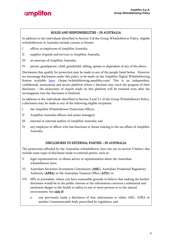#### ROLES AND RESPONSIBILITIES – IN AUSTRALIA

In addition to the individuals identified in Section 3 of the Group Whistleblower Policy, eligible whistleblowers in Australia include current or former:

- I officer or employees of Amplifon Australia;
- II supplier of goods and services to Amplifon Australia;
- III an associate of Amplifon Australia;
- IV parent, grandparent, child, grandchild, sibling, spouse or dependent of any of the above.

Disclosures that qualify for protection may be made to any of the people listed below. However we encourage disclosures under this policy to be made on the Amplifon Digital Whistleblowing System available [here:](https://whistleblowing.amplifon.com/) (https://whistleblowing.amplifon.com). This is an independent, confidential, anonymous and secure platform where a discloser may track the progress of their disclosure – the anonymity of reports made on this platform will be retained even after the investigation into the disclosure is finalized.

In addition to the individuals identified in Section 3 and 5.1 of the Group Whistleblower Policy, a disclosure may be made to any of the following eligible recipients:

- I the Amplifon Whistleblower Protection Officer;
- II Amplifon Australia officers and senior managers;
- III internal or external auditor of Amplifon Australia; and
- IV any employee or officer who has functions or duties relating to the tax affairs of Amplifon Australia.

#### DISCLOSURES TO EXTERNAL PARTIES – IN AUSTRALIA

The protections afforded by the Australian whistleblower laws (set out in section 5 below) also include some types of disclosure made to external parties, such as:

- V legal representatives, to obtain advice or representation about the Australian whistleblower laws;
- VI Australian Securities Investment Commission (ASIC), Australian Prudential Regulatory Authority (APRA) or the Australian Taxation Office (ATO); or
- VII MPs or journalists, where you have reasonable grounds to believe that making the further disclosure would be in the public interest or the information concerns a substantial and imminent danger to the health or safety to one or more persons or to the natural environment, but only if:
	- a. you previously made a disclosure of that information to either ASIC, APRA or another Commonwealth body prescribed by regulation; and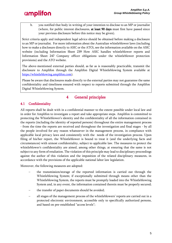

b. you notified that body in writing of your intention to disclose to an MP or journalist (where, for public interest disclosures, at least 90 days must first have passed since your previous disclosure before this notice may be given).

Strict criteria apply and independent legal advice should be obtained before making a disclosure to an MP or journalist. For more information about the Australian whistleblower laws (including how to make a disclosure directly to ASIC or the ATO), see the information available on the ASIC website (including Information Sheet 239 How ASIC handles whistleblower reports and Information Sheet 247 Company officer obligations under the whistleblower protection provisions) and the ATO website.

The above-mentioned external parties should, as far as is reasonably practicable, transmit the disclosure to Amplifon through the Amplifon Digital Whistleblowing System available at [https://whistleblowing.amplifon.com\)](https://whistleblowing.amplifon.com/).

Please be aware that disclosures made directly to the external parties may not guarantee the same confidentiality and timeliness ensured with respect to reports submitted through the Amplifon Digital Whistleblowing System.

### 4 General principles

### <span id="page-6-1"></span><span id="page-6-0"></span>4.1 Confidentiality

All reports shall be dealt with in a confidential manner to the extent possible under local law and in order for Amplifon to investigate a report and take appropriate steps. Amplifon is committed to protecting the Whistleblower's identity and the confidentiality of all the information contained in the reports (including the identity of reported persons) throughout the entire management process - from the time the reports are received and throughout the investigation and final stages - by all the people involved for any reason whatsoever in the management process, in compliance with applicable local privacy laws and consistently with the needs of the investigation process. Upon filing of his/her report, the Whistleblower is bound to treat it (and the underlying facts and circumstances) with utmost confidentiality, subject to applicable law. The measures to protect the whistleblower's confidentiality are aimed, among other things, at ensuring that the same is not subject to any form of retaliation. The violation of this principle may lead to disciplinary proceedings against the author of this violation and the imposition of the related disciplinary measures, in accordance with the provisions of the applicable national labor law legislation.

Moreover, the following measures are adopted:

- the transmission/storage of the reported information is carried out through the Whistleblowing System; if exceptionally submitted through means other than the Whistleblowing System, the reports must be promptly loaded into the Whistleblowing System and, in any event, the information contained therein must be properly secured;
- the transfer of paper documents should be avoided;
- all stages of the management process of the whistleblowers' reports are carried out in a protected electronic environment, accessible only to specifically authorized persons, and based on pre-established "access levels";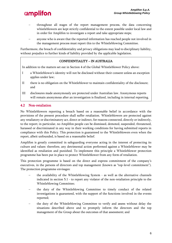- throughout all stages of the report management process, the data concerning whistleblowers are kept strictly confidential to the extent possible under local law and in order for Amplifon to investigate a report and take appropriate steps;
- anyone who is aware that the reported information has reached people not involved in the management process must report this to the Whistleblowing Committee.

Furthermore, the breach of confidentiality and privacy obligations may lead to disciplinary liability, without prejudice to further kinds of liability provided by the applicable legislation.

### CONFIDENTIALITY – IN AUSTRALIA

In addition to the matters set out in Section 4 of the Global Whistleblower Policy above:

- I a Whistleblower's identity will not be disclosed without their consent unless an exception applies under law;
- II there is no obligation on the Whistleblower to maintain confidentiality of the disclosure; and
- III disclosures made anonymously are protected under Australian law. Anonymous reports will remain anonymous after an investigation is finalized, including in internal reporting.

### <span id="page-7-0"></span>4.2 Non-retaliation

No Whistleblowers reporting a breach based on a reasonable belief in accordance with the provisions of the present procedure shall suffer retaliation. Whistleblowers are protected against any retaliatory or discriminatory act, direct or indirect, for reasons connected, directly or indirectly, to the report; in particular, no Amplifon people can be dismissed, demoted, suspended, threatened, harassed or discriminated in any way in their working conditions for having submitted reports in compliance with this Policy. This protection is guaranteed to the Whistleblowers even when the report, albeit unfounded, is based on a reasonable belief.

Amplifon is greatly committed in safeguarding everyone acting in the interest of protecting its culture and values: therefore, any detrimental action performed against a Whistleblower may be identified as retaliation and punished. To implement this principle a Whistleblower protection programme has been put in place to protect Whistleblower from any form of retaliation.

This protection programme is based on the direct and express commitment of the company's executives, in the persons of directors and top management (known as "top-level commitment"). The protection programme envisages:

- the availability of the Whistleblowing System as well as the alternative channels indicated in section 5.1 - to report any violator of the non-retaliation principle to the Whistleblowing Committee;
- the duty of the Whistleblowing Committee to timely conduct of the related investigations is guaranteed, with the support of the functions involved in the events reported;
- the duty of the Whistleblowing Committee to verify and assess without delay the situations described above and to promptly inform the directors and the top management of the Group about the outcomes of that assessment; and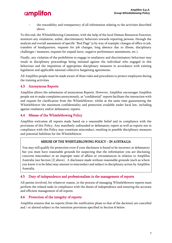the traceability and transparency of all information relating to the activities described above.

To this end, the Whistleblowing Committee, with the help of the local Human Resources Function, monitors any retaliation, unfair, discriminatory behaviors towards reporting persons, through the analysis and overall assessment of specific "Red Flags" (a by way of example: changes of office or job, transfers of headquarters, requests for job changes, long absence due to illness, disciplinary challenges / measures, requests for unpaid leave, negative performance assessments, etc.).

Finally, any violation of the prohibition to engage in retaliatory and discriminatory behaviour may result in disciplinary proceedings being initiated against the individual who engaged in this behaviour and the imposition of appropriate disciplinary measures in accordance with existing legislation and applicable national collective bargaining agreements.

All Amplifon people must be made aware of these rules and procedures to protect employees during the training activities.

### <span id="page-8-0"></span>4.3 Anonymous Reports

Amplifon allows the submission of anonymous Reports. However, Amplifon encourages Amplifon people not to make complaints anonymously, as "confidential" reports facilitate the interaction with and request for clarification from the Whistleblower, whilst at the same time guaranteeing the Whistleblower the maximum confidentiality and protection available under local law, including against retaliatory and/or defamatory reports.

### <span id="page-8-1"></span>4.4 Misuse of the Whistleblowing Policy

Amplifon welcomes all reports made based on a reasonable belief and in compliance with the provisions of this Policy. Any manifestly unfounded or defamatory report as well as reports not in compliance with this Policy may constitute misconduct, resulting in possible disciplinary measures and potential liabilities for the Whistleblower.

#### MISUSE OF THE WHISTLEBLOWING POLICY – IN AUSTRALIA

You may still qualify for protection even if your disclosure is found to be incorrect or defamatory but you must have reasonable grounds for suspecting that the information you are disclosing concerns misconduct or an improper state of affairs or circumstances in relation to Amplifon Australia (see Section [2] above). A disclosure made without reasonable grounds (such as where you know it to be false) may amount to misconduct and subject to disciplinary action by Amplifon Australia.

#### <span id="page-8-2"></span>4.5 Duty of independence and professionalism in the management of reports

All parties involved, for whatever reason, in the process of managing Whistleblowers reports must perform the related tasks in compliance with the duties of independence and ensuring the accurate and efficient management of all reports.

### <span id="page-8-3"></span>4.6 Protection of the integrity of reports

Amplifon ensures that no reports (from the notification phase to that of the decision) are cancelled and / or altered subject to the retention provisions specified in Section 6 below.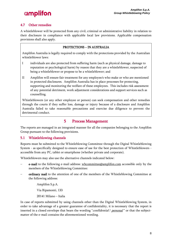### <span id="page-9-0"></span>4.7 Other remedies

A whistleblower will be protected from any civil, criminal or administrative liability in relation to their disclosure in compliance with applicable local law provisions. Applicable compensation provisions shall also apply.

### PROTECTIONS – IN AUSTRALIA

Amplifon Australia is legally required to comply with the protections provided by the Australian whistleblower laws:

- I individuals are also protected from suffering harm (such as physical damage, damage to reputation or psychological harm) by reason that they are a whistleblower, suspected of being a whistleblower or propose to be a whistleblower; and
- II Amplifon will ensure fair treatment for any employee/s who make or who are mentioned in protected disclosures. Amplifon Australia has in place processes for protecting, supporting and monitoring the welfare of these employees. This includes risk assessment of any potential detriment, work adjustment considerations and support services such as counselling.

Whistleblowers (or any other employee or person) can seek compensation and other remedies through the courts if they suffer loss, damage or injury because of a disclosure and Amplifon Australia failed to take reasonable precautions and exercise due diligence to prevent the detrimental conduct.

### 5 Process Management

<span id="page-9-1"></span>The reports are managed in an integrated manner for all the companies belonging to the Amplifon Group pursuant to the following provisions.

### <span id="page-9-2"></span>5.1 Whistleblowing channels

Reports must be submitted to the Whistleblowing Committee through the Digital Whistleblowing System - as specifically designed to ensure ease of use for the best protection of Whistleblowers accessible from any PC, tablet or smartphone (whether private and corporate).

Whistleblowers may also use the alternative channels indicated below:

- e-mail to the following e-mail address: wbcommittee@amplifon.com accessible only by the members of the Whistleblowing Committee:
- ordinary mail to the attention of one of the members of the Whistleblowing Committee at the following address:

Amplifon S.p.A.

Via Ripamonti, 133

20141 Milano – Italia

In case of reports submitted by using channels other than the Digital Whistleblowing System, in order to take advantage of a greater guarantee of confidentiality, it is necessary that the report is inserted in a closed envelope that bears the wording "*confidential* / *personal* " or that the subjectmatter of the e-mail contains the aforementioned wording.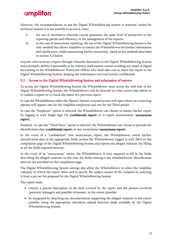However, the recommendation to use the Digital Whistleblowing System is renewed, unless for technical reasons it is not possible to access it, since:

- i) the use of alternative channels cannot guarantee the same level of protection of the reporting parties and efficiency in the management of the reports;
- ii) in the case of anonymous reporting, the use of the Digital Whistleblowing System is the only method that allows Amplifon to contact the Whistleblower for further information and clarification, while maintaining his/her anonymity, based on the methods described in section 5.2 below.

Anyone who receives a report through channels alternative to the Digital Whistleblowing System must promptly deliver it personally or by ordinary mail/express courier avoiding any email or digital forwarding to the Whistleblower Protection Officer who shall take care to insert the report in the Digital Whistleblowing System, keeping the information received strictly confidential.

### <span id="page-10-0"></span>5.2 Access to the Digital Whistleblowing System and submission of reports

To access the Digital Whistleblowing System the Whistleblower must access the web link of the Digital Whistleblowing System: the Whistleblower will be directed to a first screen that allows to (i) submit a report or (i) check the status of a previous report.

In case the Whistleblower select the "Report" button, a second screen will open where two reporting options will appear: one for the Amplifon employees and one for the Third parties.

In case the "Employee" option is selected, the Whistleblower can choose to submit his/her report by logging in with Single Sign On (confidential report) or to report anonymously (anonymous report).

Similarly, in case the "Third Party" option is selected, the Whistleblower can choose to provide the identification data (confidential report) or stay anonymous (anonymous report).

In the event of a "confidential" (not anonymous) report, the Whistleblower enters his/her identification data in the appropriate fields (unless the Whistleblower logged in with SSO) on the compilation page of the Digital Whistleblowing System and reports the alleged violation (by filling in all the fields required therein).

In the event of an "anonymous" report, the Whistleblower is only required to fill in the fields describing the alleged violation; in this case, the fields relating to the whistleblowers' identification data are not provided on the compilation page.

The Digital Whistleblowing System settings also allow the Whistleblower to select the Amplifon company to which the report refers and to specify the subject-matter of the violation by selecting it from a pre-set list proposed by the Digital Whistleblowing System.

The report must:

- contain a precise description of the facts covered by the report and the persons involved (potential managers and possible witnesses), to the extent possible;
- be integrated by attaching any documentation supporting the alleged violation to the extent possible, using the appropriate document upload function made available by the Digital Whistleblowing System.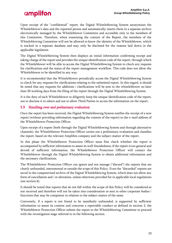Upon receipt of the "confidential" report, the Digital Whistleblowing System anonymizes the Whistleblower's data and the reported person and automatically inserts them in a separate archive electronically managed by the Whistleblower Committee and accessible only to the members of this Committee. Therefore, when examining the content of the Report, the members of the Whistleblowing Committee will not be allowed to know the identity of the Whistleblower, which is tracked in a separate database and may only be disclosed for the reasons laid down in the applicable legislation.

The Digital Whistleblowing System then displays an initial information confirming receipt and taking charge of the report and provides the unique identification code of the report, through which the Whistleblower will be able to access the Digital Whistleblowing System to check any requests for clarifications and the status of the report management workflow. This code does not allow the Whistleblower to be identified in any way.

It is recommended that the Whistleblower periodically access the Digital Whistleblowing System to check for any requests for clarifications relating to the submitted report. In this regard, it should be noted that any requests for additions / clarifications will be sent to the whistleblower no later than 20 working days from the filing of the report through the Digital Whistleblowing System.

It is the duty of each Whistleblower to diligently keep the unique identification code of the report, not to disclose it to others and not to allow Third Parties to access the information on the report.

### <span id="page-11-0"></span>5.3 Handling over and preliminary evaluation

Once the report has been received, the Digital Whistleblowing System notifies the receipt of a new report (without providing information regarding the content of the report) to the e-mail address of the Whistleblower Protection Officer.

Upon receipt of a report (both through the Digital Whistleblowing System and through alternative channels), the Whistleblower Protection Officer carries out a preliminary evaluation and classifies the report, based on the relevant Amplifon company and the subject-matter of the report.

In this phase the Whistleblower Protection Officer must first check whether the report is accompanied by sufficient information to assess its well-foundedness; if the report is too general and devoid of sufficient information, the Whistleblower Protection Officer will contact the Whistleblower through the Digital Whistleblowing System to obtain additional information and the necessary clarifications.

The Whistleblower Protection Officer can ignore and not manage ("discard") the reports that are clearly unfounded, instrumental or outside the scope of this Policy. Even the "discarded" reports are saved in the computerized archive of the Digital Whistleblowing System, which does not allow any form of cancellation and / or alteration, unless otherwise provided for in applicable local regulations (see section 6).

It should be noted that reports that do not fall within the scope of this Policy will be considered as not received and therefore will not be taken into consideration or sent to other corporate bodies / functions that may be competent in relation to the subject matter of the same.

Conversely, if a report is not found to be manifestly unfounded, is supported by sufficient information to assess its content and concerns a reportable conduct as defined in section 2, the Whistleblower Protection Officer submit the report to the Whistleblowing Committee to proceed with the investigation stage referred to in the following section.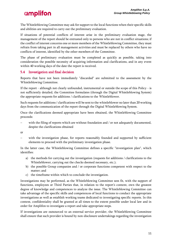The Whistleblowing Committee may ask for support to the local functions when their specific skills and abilities are required to carry out the preliminary evaluation.

If situations of potential conflicts of interest arise in the preliminary evaluation stage, the management of the report should be entrusted only to persons who are not in conflict situations; if the conflict of interest concerns one or more members of the Whistleblowing Committee, they must refrain from taking part in all management activities and must be replaced by others who have no conflicts of interest, identified by the other members of the Committee.

The phase of preliminary evaluation must be completed as quickly as possible, taking into consideration the possible necessity of acquiring information and clarifications, and in any event within 40 working days of the date the report is received.

### <span id="page-12-0"></span>5.4 Investigation and final decision

Reports that have not been immediately "discarded" are submitted to the assessment by the Whistleblowing Committee.

If the report - although not clearly unfounded, instrumental or outside the scope of this Policy - is not sufficiently detailed, the Committee formulates (through the Digital Whistleblowing System) the appropriate requests for additions / clarifications to the Whistleblower.

Such requests for additions / clarifications will be sent to the whistleblower no later than 20 working days from the communication of the report through the Digital Whistleblowing System.

Once the clarifications deemed appropriate have been obtained, the Whistleblowing Committee proceeds:

with the filing of reports which are without foundation and / or not adequately documented, despite the clarifications obtained

or

with the investigation phase, for reports reasonably founded and supported by sufficient elements to proceed with the preliminary investigation phase.

In the latter case, the Whistleblowing Committee defines a specific "investigation plan", which identifies:

- a) the methods for carrying out the investigation (requests for additions / clarifications to the Whistleblower, carrying out the checks deemed necessary, etc.);
- b) the possible Group companies and / or corporate functions competent with respect to the matter; and
- c) the timeframe within which to conclude the investigation.

Investigations may be performed, as the Whistleblowing Committee sees fit, with the support of functions, employees or Third Parties that, in relation to the report's content, own the greatest degree of knowledge and competences to analyze the issue. The Whistleblowing Committee can take advantage of the specific skills and competences of local functions to conduct the appropriate investigations as well as establish working teams dedicated to investigating specific reports. In this context, confidentiality shall be granted at all times to the extent possible under local law and in order for Amplifon to investigate a report and take appropriate steps.

If investigations are outsourced to an external service provider, the Whistleblowing Committee shall ensure that such provider is bound by non-disclosure undertakings regarding the investigation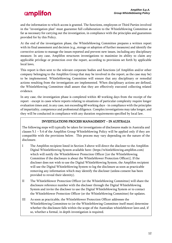and the information to which access is granted. The functions, employees or Third Parties involved in the "investigation plan" must guarantee full collaboration to the Whistleblowing Committee as far as necessary for carrying out the investigation, in compliance with the principles and guarantees provided for by this Policy.

At the end of the investigation phase, the Whistleblowing Committee prepares a written report with its final assessment and decision (e.g., storage or adoption of further measures) and identify the corrective actions to manage the issues reported and prevent new issues, including any disciplinary measure. In any case, Amplifon structures investigations to maximize its ability to claim any applicable privilege or protection over the report, according to provisions set forth by applicable local laws,

This report is then sent to the relevant corporate bodies and functions (of Amplifon and/or other company belonging to the Amplifon Group that may be involved in the report, as the case may be) to be implemented. Whistleblowing Committee will ensure that any disciplinary or remedial actions resulting from the investigation are implemented. When disciplinary actions are defined, the Whistleblowing Committee shall assure that they are effectively executed collecting related evidence.

In any case, the investigation phase is completed within 40 working days from the receipt of the report - except in cases where reports relating to situations of particular complexity require longer evaluation times and, in any case, not exceeding 60 working days - in compliance with the principles of impartiality, competence and professional diligence. Complex investigations may take longer, and they will be conducted in compliance with any duration requirements specified by local law.

### INVESTIGATIONS PROCESS MANAGEMENT – IN AUSTRALIA

The following steps will typically be taken for investigations of disclosures made in Australia and clauses 5.1 – 5.4 of the Amplifon Group Whistleblowing Policy will be applied only if they are compatible with the provisions below. This process may vary depending on the nature of the disclosure.

- I The Amplifon recipient listed in Section 3 above will direct the discloser to the Amplifon Digital Whistleblowing System available here: (https://whistleblowing.amplifon.com) which will notify the Whistleblower Protection Officer [(or the Whistleblowing Committee if the disclosure is about the Whistleblower Protection Officer)]. If the discloser does not wish to use the Digital Whistleblowing System, the Amplifon recipient will use the Digital Whistleblowing System to log the disclosure as soon as practicable removing any information which may identify the discloser (unless consent has been provided to reveal their identity).
- II The Whistleblower Protection Officer (or the Whistleblowing Committee) will share the disclosure reference number with the discloser through the Digital Whistleblowing System and invite the discloser to use the Digital Whistleblowing System or to contact the Whistleblower Protection Officer (or the Whistleblowing Committee) for updates.
- III As soon as practicable, the Whistleblower Protection Officer addresses the Whistleblowing Committee to (or the Whistleblowing Committee itself must) determine whether the disclosure falls within the scope of the Australian whistleblower laws and, if so, whether a formal, in depth investigation is required.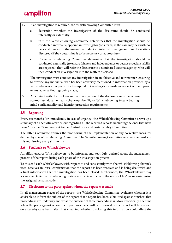

- IV If an investigation is required, the Whistleblowing Committee must:
	- a. determine whether the investigation of the disclosure should be conducted internally or externally;
	- b. in if the Whistleblowing Committee determines that the investigation should be conducted internally, appoint an investigator (or a team, as the case may be) with no personal interest in the matter to conduct an internal investigation into the matters disclosed (if they determine it to be necessary or appropriate);
	- c. if the Whistleblowing Committee determine that the investigation should be conducted externally (to ensure fairness and independence or because specialist skills are required), they will refer the disclosure to a nominated external agency, who will then conduct an investigation into the matters disclosed;

The investigator must conduct any investigation in an objective and fair manner, ensuring to provide any individual who has been adversely mentioned in information provided by a Whistleblower an opportunity to respond to the allegations made in respect of them prior to any adverse findings being made;

V All contact with the discloser in the investigation of the disclosure must be, where appropriate, documented in the Amplifon Digital Whistleblowing System bearing in mind confidentiality and identity protection requirements.

### <span id="page-14-0"></span>5.5 Reporting

Every six months (or immediately in case of urgency) the Whistleblowing Committee draws up a summary of all activities carried out regarding all the received reports (including the ones that have been "discarded") and sends it to the Control, Risk and Sustainability Committee.

The latter Committee ensures the monitoring of the implementation of any corrective measures defined by the Whistleblowing Committee. The Whistleblowing Committee receives the results of this monitoring every six months.

#### <span id="page-14-1"></span>5.6 Feedback to Whistleblowers

Amplifon ensures Whistleblowers to be informed and kept duly updated about the management process of the report during each phase of the investigation process.

To this end each whistleblower, with respect to and consistently with the whistleblowing channels used, receives an initial confirmation that the report has been received and is being dealt with and a final information that the investigation has been closed; furthermore, the Whistleblower may access the Digital Whistleblowing System at any time to check the status of his/her report(s) using the assigned personal code.

#### <span id="page-14-2"></span>5.7 Disclosure to the party against whom the report was made

In all management stages of the reports, the Whistleblowing Committee evaluates whether it is advisable to inform the subject of the report that a report has been submitted against him/her, that proceedings are underway and what the outcome of these proceedings is. More specifically, the time when the party against whom the report was made will be informed of the report will be assessed on a case-by-case basis, after first checking whether disclosing this information could affect the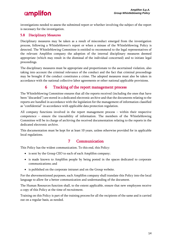investigations needed to assess the submitted report or whether involving the subject of the report is necessary for the investigation.

### <span id="page-15-0"></span>5.8 Disciplinary Measures

Disciplinary measures may be taken as a result of misconduct emerged from the investigation process, following a Whistleblower's report or when a misuse of the Whistleblowing Policy is detected. The Whistleblowing Committee is entitled to recommend to the legal representatives of the relevant Amplifon company the adoption of the internal disciplinary measures deemed appropriate (which may result in the dismissal of the individual concerned) and to initiate legal proceedings.

The disciplinary measures must be appropriate and proportionate to the ascertained violation, also taking into account the criminal relevance of the conduct and the fact that criminal proceedings may be brought if the conduct constitutes a crime. The adopted measures must also be taken in accordance with the national collective labor agreements or other national applicable provisions.

### 6 Tracking of the report management process

<span id="page-15-1"></span>The Whistleblowing Committee ensures that all the reports received (including the ones that have been "discarded") are stored in a dedicated electronic archive and that the documents relating to the reports are handled in accordance with the legislation for the management of information classified as "confidential" in accordance with applicable data protection regulation.

All company functions involved in the report management process – within their respective competence – ensure the traceability of information. The members of the Whistleblowing Committee will be in charge of archiving the received documentation relating to the reports in the dedicated electronic archive.

This documentation must be kept for at least 10 years, unless otherwise provided for in applicable local regulations.

### 7 Communication

<span id="page-15-2"></span>This Policy has the widest communication. To this end, this Policy:

- is sent by the Group CEO to each of each Amplifon company;
- is made known to Amplifon people by being posted in the spaces dedicated to corporate communications; and
- is published on the corporate intranet and on the Group website.

For the abovementioned purposes, each Amplifon company shall translate this Policy into the local language to allow for a better communication and understanding of the document.

The Human Resources function shall, to the extent applicable, ensure that new employees receive a copy of this Policy at the time of recruitment.

Training on this Policy is part of the training process for all the recipients of the same and is carried out on a regular basis, as needed.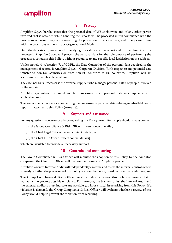### 8 Privacy

<span id="page-16-0"></span>Amplifon S.p.A. hereby states that the personal data of Whistleblowers and of any other parties involved that is obtained while handling the reports will be processed in full compliance with the provisions of current legislation regarding the protection of personal data, and in any case in line with the provisions of the Privacy Organizational Model.

Only the data strictly necessary for verifying the validity of the report and for handling it will be processed. Amplifon S.p.A. will process the personal data for the sole purpose of performing the procedures set out in this Policy, without prejudice to any specific local legislation on the subject.

Under Article 4, subsection 7, of GDPR, the Data Controller of the personal data acquired in the management of reports is Amplifon S.p.A. – Corporate Division. With respect to any potential data transfer to non-EU Countries or from non-EU countries to EU countries, Amplifon will act according with applicable local law.

The external Data Processor is the external supplier who manages personal data's of people involved in the reports.

Amplifon guarantees the lawful and fair processing of all personal data in compliance with applicable laws.

The text of the privacy notice concerning the processing of personal data relating to whistleblower's reports is attached to this Policy (Annex 8).

### 9 Support and assistance

<span id="page-16-1"></span>For any questions, concerns or advice regarding this Policy, Amplifon people should always contact:

- (i) the Group Compliance & Risk Officer: [insert contact details],
- (ii) the Chief Legal Officer: [insert contact details], or
- (iii) the Chief HR Officer: [insert contact details],

<span id="page-16-2"></span>which are available to provide all necessary support.

### 10 Controls and monitoring

The Group Compliance & Risk Officer will monitor the adoption of this Policy by the Amplifon companies; the Chief HR Officer will oversee the training of Amplifon people.

Amplifon Group's Internal Audit will independently examine and assess the internal control system to verify whether the provisions of this Policy are complied with, based on its annual audit program.

The Group Compliance & Risk Officer must periodically review this Policy to ensure that it maintains the greatest possible efficiency. Furthermore, the business units, the Internal Audit and the external auditors must indicate any possible gap in or critical issue arising from this Policy. If a violation is detected, the Group Compliance & Risk Officer will evaluate whether a review of this Policy would help to prevent the violation from recurring.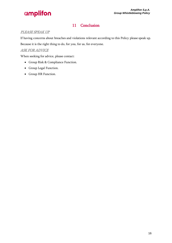### 11 Conclusion

### <span id="page-17-0"></span>PLEASE SPEAK UP

If having concerns about breaches and violations relevant according to this Policy please speak up. Because it is the right thing to do, for you, for us, for everyone.

### ASK FOR ADVICE

When seeking for advice, please contact:

- Group Risk & Compliance Function.
- Group Legal Function.
- Group HR Function.